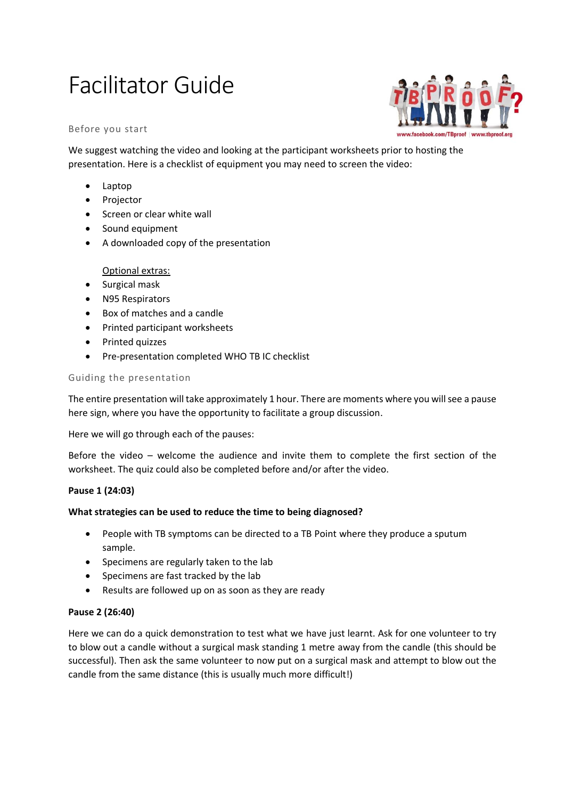# Facilitator Guide

#### Before you start

www.facebook.com/TBproof | www.tbproof.org

We suggest watching the video and looking at the participant worksheets prior to hosting the presentation. Here is a checklist of equipment you may need to screen the video:

- Laptop
- Projector
- Screen or clear white wall
- Sound equipment
- A downloaded copy of the presentation

# Optional extras:

- Surgical mask
- N95 Respirators
- Box of matches and a candle
- Printed participant worksheets
- Printed quizzes
- Pre-presentation completed WHO TB IC checklist

#### Guiding the presentation

The entire presentation will take approximately 1 hour. There are moments where you will see a pause here sign, where you have the opportunity to facilitate a group discussion.

Here we will go through each of the pauses:

Before the video – welcome the audience and invite them to complete the first section of the worksheet. The quiz could also be completed before and/or after the video.

# **Pause 1 (24:03)**

#### **What strategies can be used to reduce the time to being diagnosed?**

- People with TB symptoms can be directed to a TB Point where they produce a sputum sample.
- Specimens are regularly taken to the lab
- Specimens are fast tracked by the lab
- Results are followed up on as soon as they are ready

#### **Pause 2 (26:40)**

Here we can do a quick demonstration to test what we have just learnt. Ask for one volunteer to try to blow out a candle without a surgical mask standing 1 metre away from the candle (this should be successful). Then ask the same volunteer to now put on a surgical mask and attempt to blow out the candle from the same distance (this is usually much more difficult!)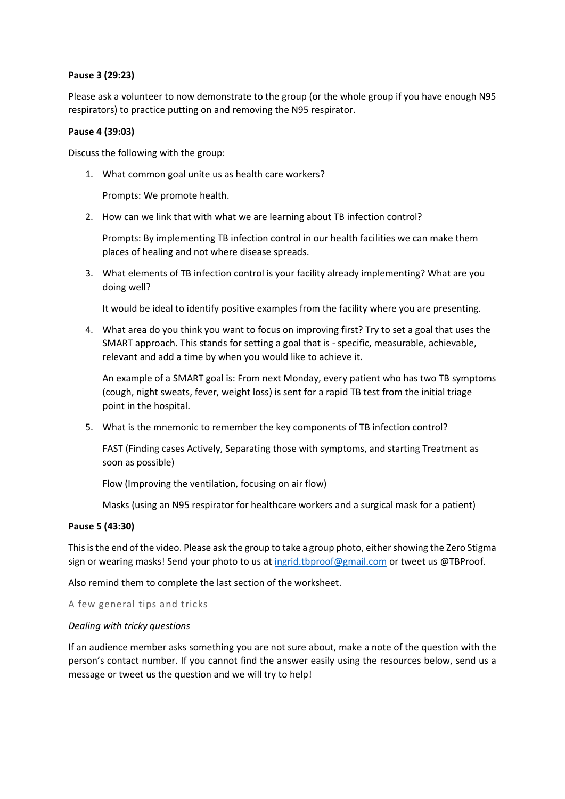#### **Pause 3 (29:23)**

Please ask a volunteer to now demonstrate to the group (or the whole group if you have enough N95 respirators) to practice putting on and removing the N95 respirator.

# **Pause 4 (39:03)**

Discuss the following with the group:

1. What common goal unite us as health care workers?

Prompts: We promote health.

2. How can we link that with what we are learning about TB infection control?

Prompts: By implementing TB infection control in our health facilities we can make them places of healing and not where disease spreads.

3. What elements of TB infection control is your facility already implementing? What are you doing well?

It would be ideal to identify positive examples from the facility where you are presenting.

4. What area do you think you want to focus on improving first? Try to set a goal that uses the SMART approach. This stands for setting a goal that is - specific, measurable, achievable, relevant and add a time by when you would like to achieve it.

An example of a SMART goal is: From next Monday, every patient who has two TB symptoms (cough, night sweats, fever, weight loss) is sent for a rapid TB test from the initial triage point in the hospital.

5. What is the mnemonic to remember the key components of TB infection control?

FAST (Finding cases Actively, Separating those with symptoms, and starting Treatment as soon as possible)

Flow (Improving the ventilation, focusing on air flow)

Masks (using an N95 respirator for healthcare workers and a surgical mask for a patient)

#### **Pause 5 (43:30)**

This is the end of the video. Please ask the group to take a group photo, either showing the Zero Stigma sign or wearing masks! Send your photo to us at [ingrid.tbproof@gmail.com](mailto:ingrid.tbproof@gmail.com) or tweet us @TBProof.

Also remind them to complete the last section of the worksheet.

A few general tips and tricks

#### *Dealing with tricky questions*

If an audience member asks something you are not sure about, make a note of the question with the person's contact number. If you cannot find the answer easily using the resources below, send us a message or tweet us the question and we will try to help!